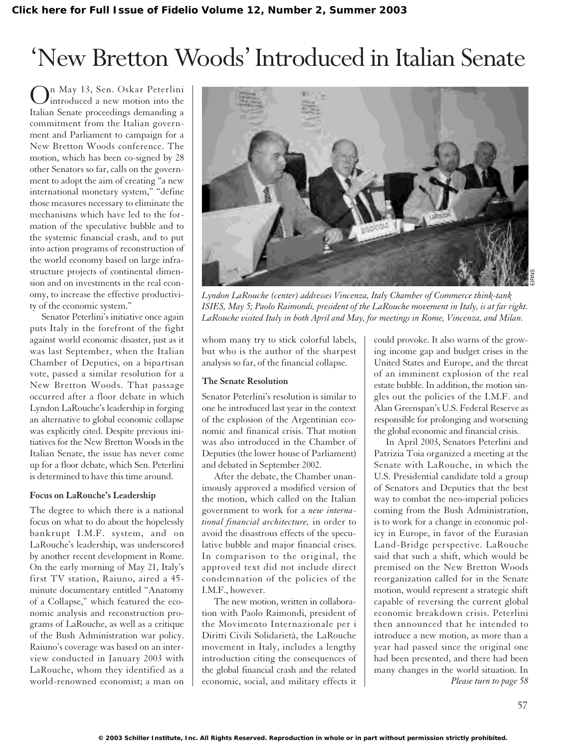# 'New Bretton Woods'Introduced in Italian Senate

On May 13, Sen. Oskar Peterlini<br>introduced a new motion into the Italian Senate proceedings demanding a commitment from the Italian government and Parliament to campaign for a New Bretton Woods conference. The motion, which has been co-signed by 28 other Senators so far, calls on the government to adopt the aim of creating "a new international monetary system," "define those measures necessary to eliminate the mechanisms which have led to the formation of the speculative bubble and to the systemic financial crash, and to put into action programs of reconstruction of the world economy based on large infrastructure projects of continental dimension and on investments in the real economy, to increase the effective productivity of the economic system."

Senator Peterlini's initiative once again puts Italy in the forefront of the fight against world economic disaster, just as it was last September, when the Italian Chamber of Deputies, on a bipartisan vote, passed a similar resolution for a New Bretton Woods. That passage occurred after a floor debate in which Lyndon LaRouche's leadership in forging an alternative to global economic collapse was explicitly cited. Despite previous initiatives for the New Bretton Woods in the Italian Senate, the issue has never come up for a floor debate, which Sen. Peterlini is determined to have this time around.

#### **Focus on LaRouche's Leadership**

The degree to which there is a national focus on what to do about the hopelessly bankrupt I.M.F. system, and on LaRouche's leadership, was underscored by another recent development in Rome. On the early morning of May 21, Italy's first TV station, Raiuno, aired a 45 minute documentary entitled "Anatomy of a Collapse," which featured the economic analysis and reconstruction programs of LaRouche, as well as a critique of the Bush Administration war policy. Raiuno's coverage was based on an interview conducted in January 2003 with LaRouche, whom they identified as a world-renowned economist; a man on



*Lyndon LaRouche (center) addresses Vincenza, Italy Chamber of Commerce think-tank ISIES, May 5; Paolo Raimondi, president of the LaRouche movement in Italy, is at far right. LaRouche visited Italy in both April and May, for meetings in Rome, Vincenza, and Milan.*

whom many try to stick colorful labels, but who is the author of the sharpest analysis so far, of the financial collapse.

#### **The Senate Resolution**

Senator Peterlini's resolution is similar to one he introduced last year in the context of the explosion of the Argentinian economic and finanical crisis. That motion was also introduced in the Chamber of Deputies (the lower house of Parliament) and debated in September 2002.

After the debate, the Chamber unanimously approved a modified version of the motion, which called on the Italian government to work for a *new international financial architecture,* in order to avoid the disastrous effects of the speculative bubble and major financial crises. In comparison to the original, the approved text did not include direct condemnation of the policies of the I.M.F., however.

The new motion, written in collaboration with Paolo Raimondi, president of the Movimento Internazionale per i Diritti Civili Solidarietà, the LaRouche movement in Italy, includes a lengthy introduction citing the consequences of the global financial crash and the related economic, social, and military effects it could provoke. It also warns of the growing income gap and budget crises in the United States and Europe, and the threat of an imminent explosion of the real estate bubble. In addition, the motion singles out the policies of the I.M.F. and Alan Greenspan's U.S. Federal Reserve as responsible for prolonging and worsening the global economic and financial crisis.

In April 2003, Senators Peterlini and Patrizia Toia organized a meeting at the Senate with LaRouche, in which the U.S. Presidential candidate told a group of Senators and Deputies that the best way to combat the neo-imperial policies coming from the Bush Administration, is to work for a change in economic policy in Europe, in favor of the Eurasian Land-Bridge perspective. LaRouche said that such a shift, which would be premised on the New Bretton Woods reorganization called for in the Senate motion, would represent a strategic shift capable of reversing the current global economic breakdown crisis. Peterlini then announced that he intended to introduce a new motion, as more than a year had passed since the original one had been presented, and there had been many changes in the world situation. In *Please turn to page 58*